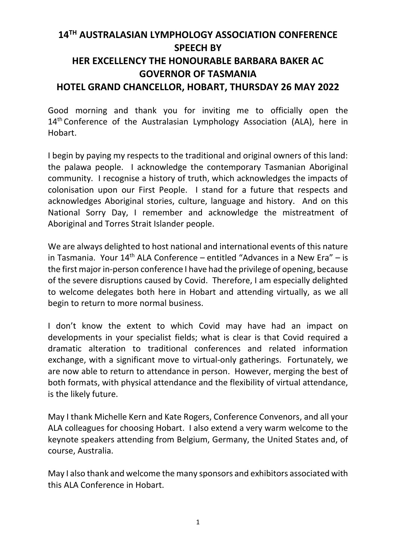## **14TH AUSTRALASIAN LYMPHOLOGY ASSOCIATION CONFERENCE SPEECH BY HER EXCELLENCY THE HONOURABLE BARBARA BAKER AC GOVERNOR OF TASMANIA HOTEL GRAND CHANCELLOR, HOBART, THURSDAY 26 MAY 2022**

Good morning and thank you for inviting me to officially open the 14<sup>th</sup> Conference of the Australasian Lymphology Association (ALA), here in Hobart.

I begin by paying my respects to the traditional and original owners of this land: the palawa people. I acknowledge the contemporary Tasmanian Aboriginal community. I recognise a history of truth, which acknowledges the impacts of colonisation upon our First People. I stand for a future that respects and acknowledges Aboriginal stories, culture, language and history. And on this National Sorry Day, I remember and acknowledge the mistreatment of Aboriginal and Torres Strait Islander people.

We are always delighted to host national and international events of this nature in Tasmania. Your  $14<sup>th</sup>$  ALA Conference – entitled "Advances in a New Era" – is the first major in-person conference I have had the privilege of opening, because of the severe disruptions caused by Covid. Therefore, I am especially delighted to welcome delegates both here in Hobart and attending virtually, as we all begin to return to more normal business.

I don't know the extent to which Covid may have had an impact on developments in your specialist fields; what is clear is that Covid required a dramatic alteration to traditional conferences and related information exchange, with a significant move to virtual-only gatherings. Fortunately, we are now able to return to attendance in person. However, merging the best of both formats, with physical attendance and the flexibility of virtual attendance, is the likely future.

May I thank Michelle Kern and Kate Rogers, Conference Convenors, and all your ALA colleagues for choosing Hobart. I also extend a very warm welcome to the keynote speakers attending from Belgium, Germany, the United States and, of course, Australia.

May I also thank and welcome the many sponsors and exhibitors associated with this ALA Conference in Hobart.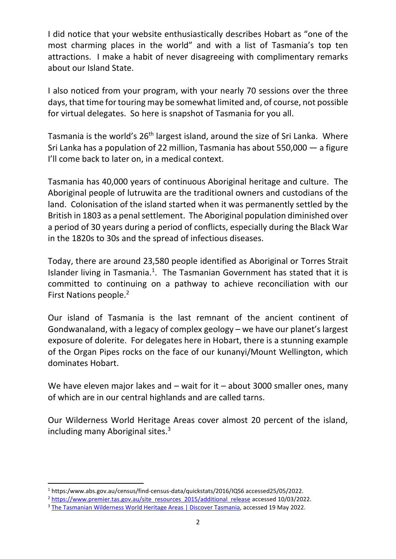I did notice that your website enthusiastically describes Hobart as "one of the most charming places in the world" and with a list of Tasmania's top ten attractions. I make a habit of never disagreeing with complimentary remarks about our Island State.

I also noticed from your program, with your nearly 70 sessions over the three days, that time for touring may be somewhat limited and, of course, not possible for virtual delegates. So here is snapshot of Tasmania for you all.

Tasmania is the world's 26<sup>th</sup> largest island, around the size of Sri Lanka. Where Sri Lanka has a population of 22 million, Tasmania has about 550,000 — a figure I'll come back to later on, in a medical context.

Tasmania has 40,000 years of continuous Aboriginal heritage and culture. The Aboriginal people of lutruwita are the traditional owners and custodians of the land. Colonisation of the island started when it was permanently settled by the British in 1803 as a penal settlement. The Aboriginal population diminished over a period of 30 years during a period of conflicts, especially during the Black War in the 1820s to 30s and the spread of infectious diseases.

Today, there are around 23,580 people identified as Aboriginal or Torres Strait Islander living in Tasmania.<sup>1</sup>. The Tasmanian Government has stated that it is committed to continuing on a pathway to achieve reconciliation with our First Nations people. 2

Our island of Tasmania is the last remnant of the ancient continent of Gondwanaland, with a legacy of complex geology – we have our planet's largest exposure of dolerite. For delegates here in Hobart, there is a stunning example of the Organ Pipes rocks on the face of our kunanyi/Mount Wellington, which dominates Hobart.

We have eleven major lakes and – wait for it – about 3000 smaller ones, many of which are in our central highlands and are called tarns.

Our Wilderness World Heritage Areas cover almost 20 percent of the island, including many Aboriginal sites. $3$ 

<sup>1</sup> https:/www.abs.gov.au/census/find-census-data/quickstats/2016/IQS6 accessed25/05/2022.

<sup>&</sup>lt;sup>2</sup> https://www.premier.tas.gov.au/site\_resources\_2015/additional\_release accessed 10/03/2022.

<sup>&</sup>lt;sup>3</sup> The Tasmanian Wilderness World Heritage Areas | Discover Tasmania, accessed 19 May 2022.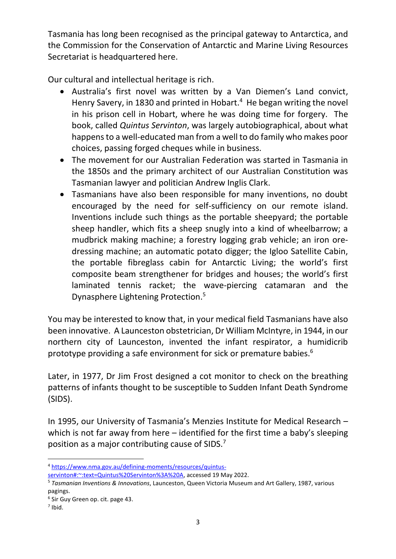Tasmania has long been recognised as the principal gateway to Antarctica, and the Commission for the Conservation of Antarctic and Marine Living Resources Secretariat is headquartered here.

Our cultural and intellectual heritage is rich.

- Australia's first novel was written by a Van Diemen's Land convict, Henry Savery, in 1830 and printed in Hobart.<sup>4</sup> He began writing the novel in his prison cell in Hobart, where he was doing time for forgery. The book, called *Quintus Servinton*, was largely autobiographical, about what happens to a well-educated man from a well to do family who makes poor choices, passing forged cheques while in business.
- The movement for our Australian Federation was started in Tasmania in the 1850s and the primary architect of our Australian Constitution was Tasmanian lawyer and politician Andrew Inglis Clark.
- Tasmanians have also been responsible for many inventions, no doubt encouraged by the need for self-sufficiency on our remote island. Inventions include such things as the portable sheepyard; the portable sheep handler, which fits a sheep snugly into a kind of wheelbarrow; a mudbrick making machine; a forestry logging grab vehicle; an iron oredressing machine; an automatic potato digger; the Igloo Satellite Cabin, the portable fibreglass cabin for Antarctic Living; the world's first composite beam strengthener for bridges and houses; the world's first laminated tennis racket; the wave-piercing catamaran and the Dynasphere Lightening Protection. 5

You may be interested to know that, in your medical field Tasmanians have also been innovative. A Launceston obstetrician, Dr William McIntyre, in 1944, in our northern city of Launceston, invented the infant respirator, a humidicrib prototype providing a safe environment for sick or premature babies.<sup>6</sup>

Later, in 1977, Dr Jim Frost designed a cot monitor to check on the breathing patterns of infants thought to be susceptible to Sudden Infant Death Syndrome (SIDS).

In 1995, our University of Tasmania's Menzies Institute for Medical Research – which is not far away from here – identified for the first time a baby's sleeping position as a major contributing cause of SIDS.<sup>7</sup>

<sup>4</sup> https://www.nma.gov.au/defining-moments/resources/quintus-

servinton#:~:text=Quintus%20Servinton%3A%20A, accessed 19 May 2022.

<sup>5</sup> *Tasmanian Inventions & Innovations*, Launceston, Queen Victoria Museum and Art Gallery, 1987, various pagings.

<sup>6</sup> Sir Guy Green op. cit. page 43.

 $<sup>7</sup>$  Ibid.</sup>